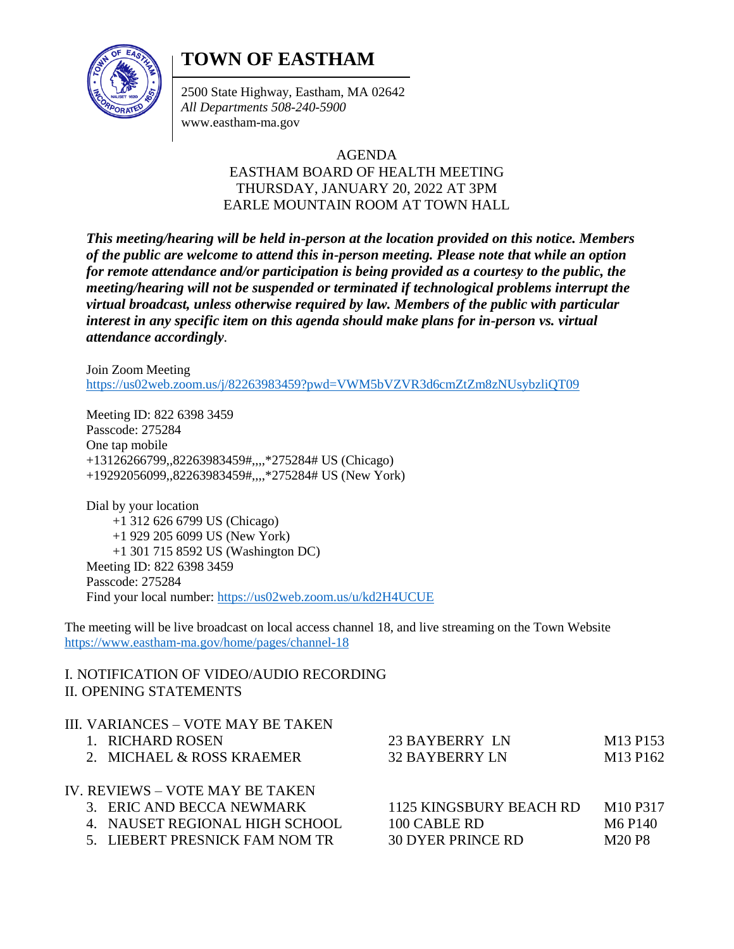# **TOWN OF EASTHAM**



2500 State Highway, Eastham, MA 02642 *All Departments 508-240-5900* www.eastham-ma.gov

#### AGENDA

### EASTHAM BOARD OF HEALTH MEETING THURSDAY, JANUARY 20, 2022 AT 3PM EARLE MOUNTAIN ROOM AT TOWN HALL

*This meeting/hearing will be held in-person at the location provided on this notice. Members of the public are welcome to attend this in-person meeting. Please note that while an option for remote attendance and/or participation is being provided as a courtesy to the public, the meeting/hearing will not be suspended or terminated if technological problems interrupt the virtual broadcast, unless otherwise required by law. Members of the public with particular interest in any specific item on this agenda should make plans for in-person vs. virtual attendance accordingly.*

Join Zoom Meeting <https://us02web.zoom.us/j/82263983459?pwd=VWM5bVZVR3d6cmZtZm8zNUsybzliQT09>

Meeting ID: 822 6398 3459 Passcode: 275284 One tap mobile +13126266799,,82263983459#,,,,\*275284# US (Chicago) +19292056099,,82263983459#,,,,\*275284# US (New York)

Dial by your location +1 312 626 6799 US (Chicago) +1 929 205 6099 US (New York) +1 301 715 8592 US (Washington DC) Meeting ID: 822 6398 3459 Passcode: 275284 Find your local number:<https://us02web.zoom.us/u/kd2H4UCUE>

The meeting will be live broadcast on local access channel 18, and live streaming on the Town Website <https://www.eastham-ma.gov/home/pages/channel-18>

#### I. NOTIFICATION OF VIDEO/AUDIO RECORDING II. OPENING STATEMENTS

|                                 | III. VARIANCES – VOTE MAY BE TAKEN<br>1. RICHARD ROSEN<br>2. MICHAEL & ROSS KRAEMER | 23 BAYBERRY LN<br><b>32 BAYBERRY LN</b> | M <sub>13</sub> P <sub>153</sub><br>M <sub>13</sub> P <sub>162</sub> |
|---------------------------------|-------------------------------------------------------------------------------------|-----------------------------------------|----------------------------------------------------------------------|
| IV. REVIEWS – VOTE MAY BE TAKEN |                                                                                     |                                         |                                                                      |
|                                 | 3. ERIC AND BECCA NEWMARK                                                           | 1125 KINGSBURY BEACH RD                 | M <sub>10</sub> P <sub>317</sub>                                     |
|                                 | 4. NAUSET REGIONAL HIGH SCHOOL                                                      | 100 CABLE RD                            | M <sub>6</sub> P <sub>140</sub>                                      |
|                                 | 5. LIEBERT PRESNICK FAM NOM TR                                                      | <b>30 DYER PRINCE RD</b>                | M20 P8                                                               |
|                                 |                                                                                     |                                         |                                                                      |